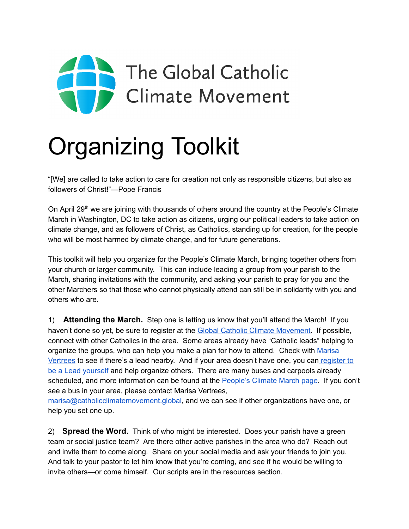

## Organizing Toolkit

"[We] are called to take action to care for creation not only as responsible citizens, but also as followers of Christ!"—Pope Francis

On April 29<sup>th</sup> we are joining with thousands of others around the country at the People's Climate March in Washington, DC to take action as citizens, urging our political leaders to take action on climate change, and as followers of Christ, as Catholics, standing up for creation, for the people who will be most harmed by climate change, and for future generations.

This toolkit will help you organize for the People's Climate March, bringing together others from your church or larger community. This can include leading a group from your parish to the March, sharing invitations with the community, and asking your parish to pray for you and the other Marchers so that those who cannot physically attend can still be in solidarity with you and others who are.

1) Attending the March. Step one is letting us know that you'll attend the March! If you haven't done so yet, be sure to register at the **Global Catholic Climate Movement**. If possible, connect with other Catholics in the area. Some areas already have "Catholic leads" helping to organize the groups, who can help you make a plan for how to attend. Check with [Marisa](http://marisa@catholicclimatemovement.global/) [Vertrees](http://marisa@catholicclimatemovement.global/) to see if there's a lead nearby. And if your area doesn't have one, you can [register](https://docs.google.com/a/catholicclimatemovement.global/forms/d/e/1FAIpQLSdlh0MD8VU1ldmMgDaNCXFMZAY2uvINJgMyFQhyKwJ24uEmXg/viewform?embedded=true) to be a Lead [yourself](https://docs.google.com/a/catholicclimatemovement.global/forms/d/e/1FAIpQLSdlh0MD8VU1ldmMgDaNCXFMZAY2uvINJgMyFQhyKwJ24uEmXg/viewform?embedded=true) and help organize others. There are many buses and carpools already scheduled, and more information can be found at the [People's](https://peoplesclimate.org/transportation/) Climate March page. If you don't see a bus in your area, please contact Marisa Vertrees,

[marisa@catholicclimatemovement.global,](http://marisa@catholicclimatemovement.global/) and we can see if other organizations have one, or help you set one up.

2) **Spread the Word.** Think of who might be interested. Does your parish have a green team or social justice team? Are there other active parishes in the area who do? Reach out and invite them to come along. Share on your social media and ask your friends to join you. And talk to your pastor to let him know that you're coming, and see if he would be willing to invite others—or come himself. Our scripts are in the resources section.